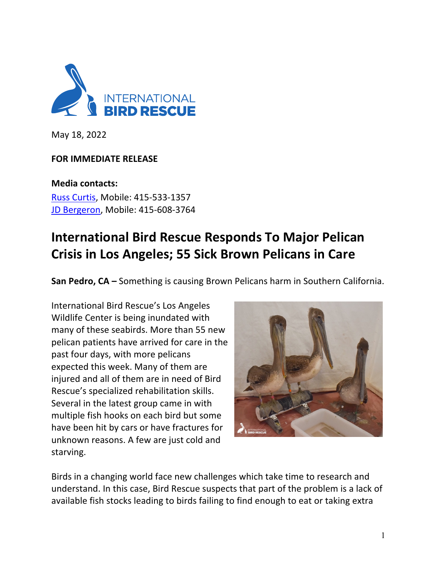

May 18, 2022

## **FOR IMMEDIATE RELEASE**

**Media contacts:** Russ Curtis, Mobile: 415-533-1357 JD Bergeron, Mobile: 415-608-3764

## **International Bird Rescue Responds To Major Pelican Crisis in Los Angeles; 55 Sick Brown Pelicans in Care**

**San Pedro, CA –** Something is causing Brown Pelicans harm in Southern California.

International Bird Rescue's Los Angeles Wildlife Center is being inundated with many of these seabirds. More than 55 new pelican patients have arrived for care in the past four days, with more pelicans expected this week. Many of them are injured and all of them are in need of Bird Rescue's specialized rehabilitation skills. Several in the latest group came in with multiple fish hooks on each bird but some have been hit by cars or have fractures for unknown reasons. A few are just cold and starving.



Birds in a changing world face new challenges which take time to research and understand. In this case, Bird Rescue suspects that part of the problem is a lack of available fish stocks leading to birds failing to find enough to eat or taking extra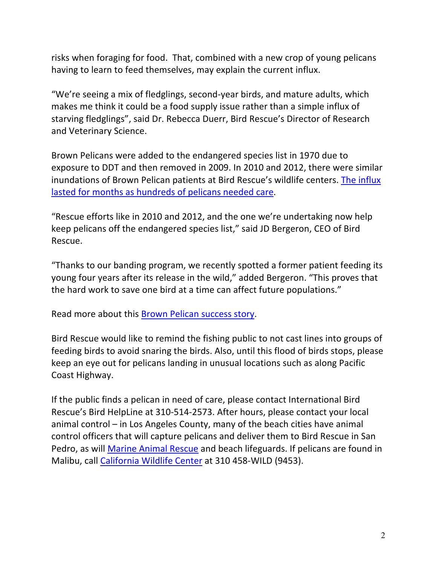risks when foraging for food. That, combined with a new crop of young pelicans having to learn to feed themselves, may explain the current influx.

"We're seeing a mix of fledglings, second-year birds, and mature adults, which makes me think it could be a food supply issue rather than a simple influx of starving fledglings", said Dr. Rebecca Duerr, Bird Rescue's Director of Research and Veterinary Science.

Brown Pelicans were added to the endangered species list in 1970 due to exposure to DDT and then removed in 2009. In 2010 and 2012, there were similar inundations of Brown Pelican patients at Bird Rescue's wildlife centers. The influx lasted for months as hundreds of pelicans needed care.

"Rescue efforts like in 2010 and 2012, and the one we're undertaking now help keep pelicans off the endangered species list," said JD Bergeron, CEO of Bird Rescue.

"Thanks to our banding program, we recently spotted a former patient feeding its young four years after its release in the wild," added Bergeron. "This proves that the hard work to save one bird at a time can affect future populations."

Read more about this **Brown Pelican success story**.

Bird Rescue would like to remind the fishing public to not cast lines into groups of feeding birds to avoid snaring the birds. Also, until this flood of birds stops, please keep an eye out for pelicans landing in unusual locations such as along Pacific Coast Highway.

If the public finds a pelican in need of care, please contact International Bird Rescue's Bird HelpLine at 310-514-2573. After hours, please contact your local animal control – in Los Angeles County, many of the beach cities have animal control officers that will capture pelicans and deliver them to Bird Rescue in San Pedro, as will Marine Animal Rescue and beach lifeguards. If pelicans are found in Malibu, call California Wildlife Center at 310 458-WILD (9453).